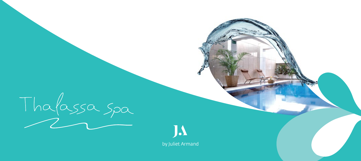



by Juliet Armand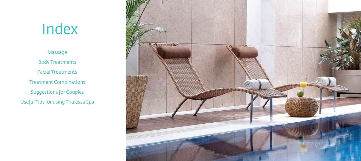### Index

Massage Body Treatments Facial Treatments Treatment Combinations Suggestions for Couples Useful Tips for using Thalassa Spa

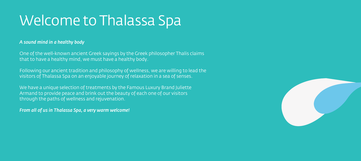# Welcome to Thalassa Spa

#### *A sound mind in a healthy body*

One of the well-known ancient Greek sayings by the Greek philosopher Thalis claims that to have a healthy mind, we must have a healthy body.

Following our ancient tradition and philosophy of wellness, we are willing to lead the visitors of Thalassa Spa on an enjoyable journey of relaxation in a sea of senses.

We have a unique selection of treatments by the Famous Luxury Brand Juliette Armand to provide peace and brink out the beauty of each one of our visitors through the paths of wellness and rejuvenation.

*From all of us in Thalassa Spa, a very warm welcome!*

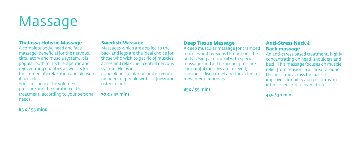

#### **Thalassa Holistic Massage**

A complete body, head and face massage, beneficial for the nervous, circulatory and muscle system. It is popular both for its therapeutic and rejuvenating qualities as well as for the immediate relaxation and pleasure it provides.

You can choose the volume of pressure and the duration of the treatment, according to your personal needs.

#### 85 € / 55 mins

#### **Swedish Massage**

Massages which are applied to the back and legs are the ideal choice for those who wish to get rid of muscles aches and relax their central nervous system. Helps in good blood circulation and is recommended for people with stiffness and

osteoarthritis.

 $70 \in I$  45 mins

#### **Deep Tissue Massage**

A deep muscular massage for cramped muscles and tensions throughout the body. Using almond oil with special massage, and at the proper pressure the painful muscles are relieved, tension is discharged and the extent of movement improves.

 $85 \epsilon$  / 55 mins

### **Anti-Stress Neck & Back massage**

An anti-stress based treatment, highly concentrating on head, shoulders and back. This massage focuses on muscle relief from tension in all areas around the neck and across the back. It improves flexibility and performs an intense sense of rejuvenation.

45€ / 30 mins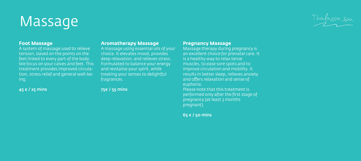# Massage

#### **Foot Massage**

A system of massage used to relieve tension, based on the points on the feet linked to every part of the body. We focus on your calves and feet. This treatment provides improved circulation, stress relief and general well-being.

 $45 \in \sqrt{25}$  mins

#### **Aromatherapy Massage**

A massage using essential oils of your choice. It elevates mood, provides deep relaxation, and relieves stress. Formulated to balance your energy and revitalise your spirit, while treating your senses to delightful fragrances.

75€ / 55 mins

### **Pregnancy Massage**

Massage therapy during pregnancy is an excellent choice for prenatal care. It is a healthy way to relax tense muscles, to ease sore spots and to improve circulation and mobility. It results in better sleep, relieves anxiety and offers relaxation and sense of euphoria. Please note that this treatment is performed only after the first stage of pregnancy (at least 3 months pregnant).

 $65 \in / 50$  mins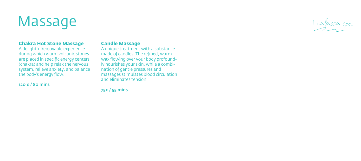

## Thalassa spa

#### **Chakra Hot Stone Massage**

A delightful/enjoyable experience during which warm volcanic stones are placed in specific energy centers (chakra) and help relax the nervous system, relieve anxiety, and balance the body's energy flow.

 $120 \in I$  80 mins

#### **Candle Massage**

A unique treatment with a substance made of candles. The refined, warm wax flowing over your body profoundly nourishes your skin, while a combination of gentle pressures and massages stimulates blood circulation and eliminates tension.

75€ / 55 mins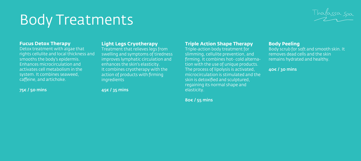# Body Treatments



#### **Fucus Detox Therapy**

Detox treatment with algae that rights cellulite and local thickness and smooths the body's epidermis. Enhances microcirculation and activates cell metabolism in the system. It combines seaweed, caffeine, and artichoke.

75€ / 50 mins

#### **Light Legs Cryotherapy**

Treatment that relieves legs from swelling and symptoms of tiredness improves lymphatic circulation and enhances the skin's elasticity. It combines cryotherapy with the action of products with firming ingredients

45€ / 35 mins

#### **Triple Action Shape Therapy**

Triple-action body treatment for slimming, cellulite prevention, and firming. It combines hot- cold alternation with the use of unique products. The process of lipolysis is activated, microcirculation is stimulated and the skin is detoxified and sculptured, regaining its normal shape and elasticity.

80€ / 55 mins

#### **Body Peeling**

Body scrub for soft and smooth skin. It removes dead cells and the skin remains hydrated and healthy.

40€ / 30 mins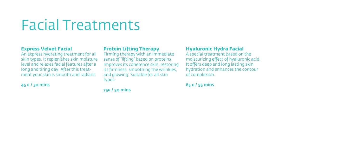# Facial Treatments

#### **Express Velvet Facial**

An express hydrating treatment for all skin types. It replenishes skin moisture level and relaxes facial features after a long and tiring day. After this treatment your skin is smooth and radiant.

45 € / 30 mins

### **Protein Lifting Therapy**

Firming therapy with an immediate sense of "lifting" based on proteins. Improves its coherence skin, restoring its firmness, smoothing the wrinkles, and glowing. Suitable for all skin types.

75€ / 50 mins

### **Hyaluronic Hydra Facial**

A special treatment based on the moisturizing effect of hyaluronic acid. It offers deep and long lasting skin hydration and enhances the contour of complexion.

 $65 \in \mathcal{6}$  55 mins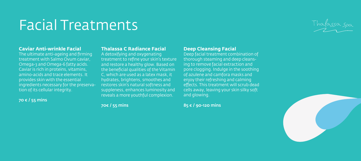# Facial Treatments

#### **Caviar Anti-wrinkle Facial**

The ultimate anti-ageing and firming treatment with Salmo Ovum caviar, Omega-3 and Omega-6 fatty acids. Caviar is rich in proteins, vitamins, amino-acids and trace elements. It provides skin with the essential ingredients necessary for the preservation of its cellular integrity.

#### **Thalassa C Radiance Facial**

A detoxifying and oxygenating treatment to refine your skin's texture and restore a healthy glow. Based on the beneficial qualities of the Vitamin C, which are used as a latex mask, it hydrates, brightens, smoothes and restores skin's natural softness and suppleness, enhances luminosity and reveals a more youthful complexion.

#### **Deep Cleansing Facial**

Deep facial treatment combination of thorough steaming and deep cleansing to remove facial extraction and pore clogging. Indulge in the soothing of azulene and camfora masks and enjoy their refreshing and calming effects. This treatment will scrub dead cells away, leaving your skin silky soft and glowing.

70 € / 55 mins

70€ / 55 mins

85 € / 90-120 mins

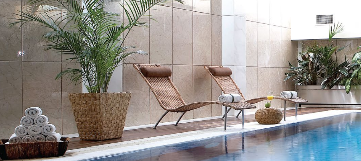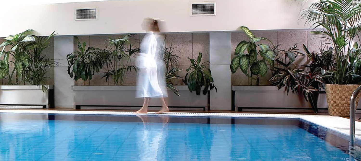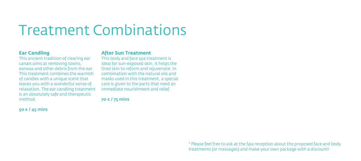### Treatment Combinations

#### **Ear Candling**

This ancient tradition of clearing ear canals aims at removing toxins, earwax and other debris from the ear. This treatment combines the warmth of candles with a unique scent that leaves you with a wonderful sense of relaxation. The ear candling treatment is an absolutely safe and therapeutic method.

#### **After Sun Treatment**

This body and face spa treatment is ideal for sun-exposed skin. It helps the tired skin to reform and rejuvenate. In combination with the natural oils and masks used in this treatment, a special care is given to the parts that need an immediate nourishment and relief.

 $70 \in I$  75 mins

### 50 € / 45 mins

\* Please feel free to ask at the Spa reception about the proposed face and body treatments (or massages) and make your own package with a discount!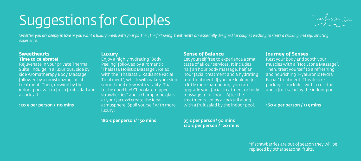# Suggestions for Couples

Thafassa spa

*Whether you are deeply in love or you want a luxury break with your partner, the following treatments are especially designed for couples wishing to share a relaxing and rejuvenating experience.*

#### **Sweethearts Time to celebrate!**

Rejuvenate in your private Thermal Suite. Indulge in a luxurious, side by side Aromatherapy Body Massage followed by a moisturizing facial treatment. Then, unwind by the indoor pool with a fresh fruit salad and a cocktail.

#### 120 € per person / 110 mins

#### **Luxury**

Enjoy a highly hydrating "Body Peeling" followed by a romantic "Thalassa Holistic Massage". Relax with the "Thalassa C Radiance Facial Treatment", which will make your skin smooth and glow with vitality. Toast to the good life! Chocolate-dipped strawberries\* and a champagne glass at your Jacuzzi create the ideal atmosphere! Spoil yourself with more luxury.

#### **Sense of Balance**

Let yourself free to experience a small taste of all our services. It includes half an hour body massage, half an hour facial treatment and a hydrating foot treatment. If you are looking for a little more pampering, you can upgrade your facial treatment or body massage to full hour. After the treatments, enjoy a cocktail along with a fruit salad by the indoor pool.

#### **Journey of Senses**

Rest your body and sooth your muscles with a "Hot Stone Massage". Then, treat yourself to a refreshing and nourishing "Hyaluronic Hydra Facial" treatment. This deluxe package concludes with a cocktail and a fruit salad by the indoor pool.

#### 160 € per person / 135 mins

180 € per person/ 150 mins

95 € per person/ 90 mins 120 € per person / 120 mins

> \*If strawberries are out of season they will be replaced by other seasonal fruits.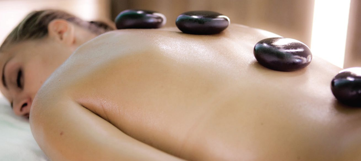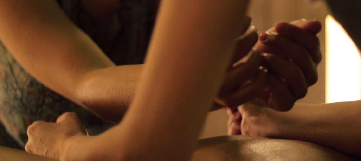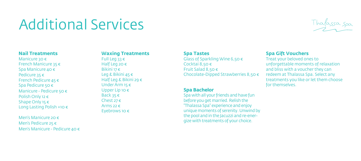## Additional Services

Thalassa spa

#### **Nail Treatments**

Manicure 30 € French Manicure 35 € Spa Manicure 40 € Pedicure 35 € French Pedicure 45 € Spa Pedicure 50 € Manicure - Pedicure 50 € Polish Only 12 € Shape Only 15 € Long Lasting Polish +10 €

Men's Manicure 20  $\epsilon$ Men's Pedicure 25 € Men's Manicure - Pedicure 40 €

#### **Waxing Treatments**

Full Leg 33 € Half Leg 20 € Bikini 17 € Leg & Bikini 45 € Half Leg & Bikini 29 € Under Arm 15 € Upper Lip 10 $\varepsilon$ Back 35 € Chest 27 € Arms  $22 \epsilon$ Eyebrows 10 €

#### **Spa Tastes**

Glass of Sparkling Wine 6,50 € Cocktai 8,50 € Fruit Salad 8,50 € Chocolate-Dipped Strawberries 8,50 €

#### **Spa Bachelor**

Spa with all your friends and have fun before you get married. Relish the "Thalassa Spa" experience and enjoy unique moments of serenity. Unwind by the pool and in the Jacuzzi and re-energize with treatments of your choice.

#### **Spa Gift Vouchers**

Treat your beloved ones to unforgettable moments of relaxation and bliss with a voucher they can redeem at Thalassa Spa. Select any treatments you like or let them choose for themselves.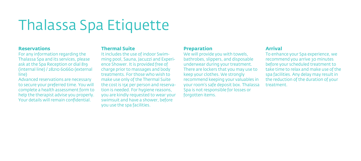# Thalassa Spa Etiquette

#### **Reservations**

For any information regarding the Thalassa Spa and its services, please ask at the Spa Reception or dial 819 (internal line) / 28210 60660 (external line)

Advanced reservations are necessary to secure your preferred time. You will complete a health assessment form to help the therapist advise you properly. Your details will remain confidential.

#### **Τhermal Suite**

It includes the use of indoor Swimming pool, Sauna, Jacuzzi and Experience Shower. It is provided free of charge prior to massages and body treatments. For those who wish to make use only of the Thermal Suite the cost is 15€ per person and reservation is needed. For hygiene reasons, you are kindly requested to wear your swimsuit and have a shower, before you use the spa facilities.

### **Preparation**

We will provide you with towels, bathrobes, slippers, and disposable underwear during your treatment. There are lockers that you may use to keep your clothes. We strongly recommend keeping your valuables in your room's safe deposit box. Thalassa Spa is not responsible for losses or forgotten items.

### **Arrival**

To enhance your Spa experience, we recommend you arrive 30 minutes before your scheduled treatment to take time to relax and make use of the spa facilities. Any delay may result in the reduction of the duration of your treatment.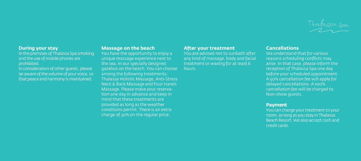

### **During your stay**

In the premises of Thalassa Spa smoking and the use of mobile phones are prohibited.

In consideration of other guests, please be aware of the volume of your voice, so that peace and harmony is maintained.

#### **Massage on the beach**

You have the opportunity to enjoy a unique massage experience next to the sea, in our specially designed gazebos on the beach. You can choose among the following treatments: Thalassa Holistic Massage, Anti-Stress Neck & Back Massage and Four Hands Massage. Please make your reservation one day in advance and keep in mind that these treatments are provided as long as the weather conditions permit. There is an extra charge of 30% on the regular price.

#### **After your treatment**

You are advised not to sunbath after any kind of massage, body and facial treatment or waxing for at least 6 hours.

#### **Cancellations**

We understand that for various reasons scheduling conflicts may arise. In that case, please inform the reception of Thalassa Spa one day before your scheduled appointment. A 50% cancellation fee will apply for delayed cancellations. A 100% cancellation fee will be charged to Non-show guests.

#### **Payment**

You can charge your treatment to your room, as long as you stay in Thalassa Beach Resort. We also accept cash and credit cards.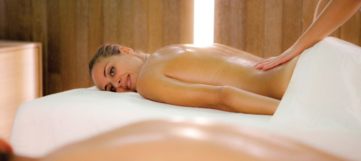